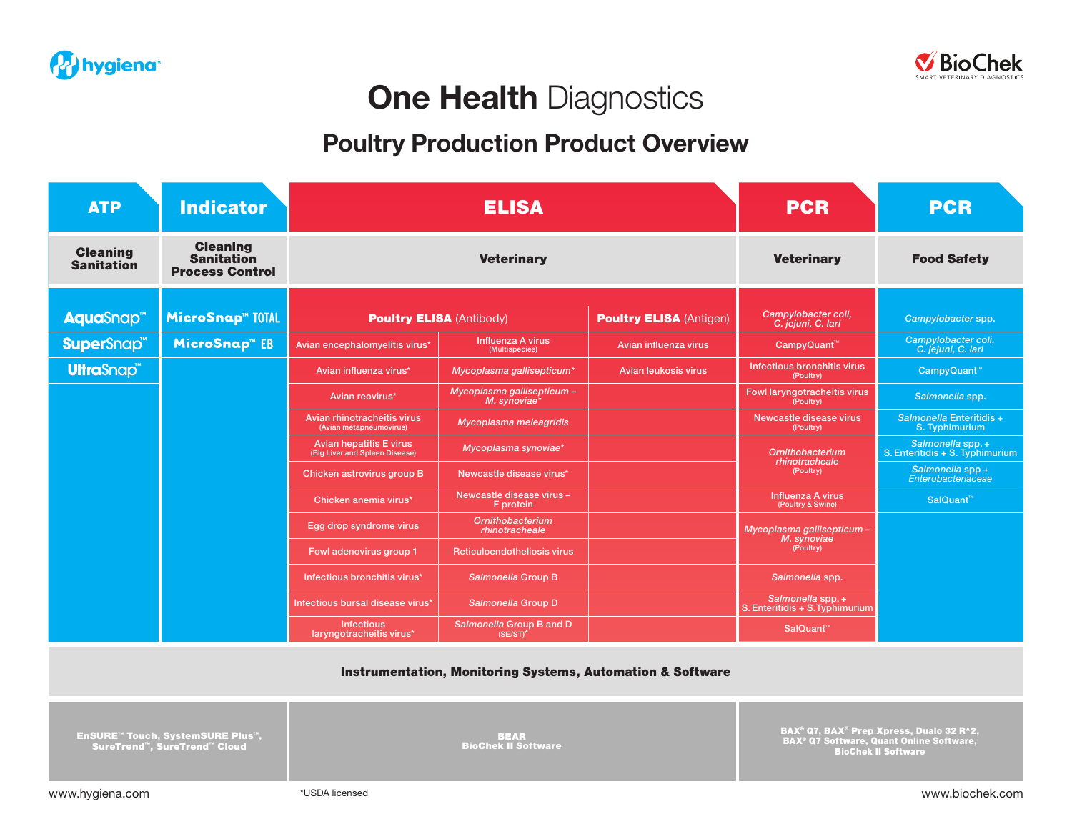



# **One Health Diagnostics**

### Poultry Production Product Overview

| <b>ATP</b>                           | <b>Indicator</b>                                               | <b>ELISA</b>                                                     |                                            |                                | <b>PCR</b>                                             | <b>PCR</b>                                          |
|--------------------------------------|----------------------------------------------------------------|------------------------------------------------------------------|--------------------------------------------|--------------------------------|--------------------------------------------------------|-----------------------------------------------------|
| <b>Cleaning</b><br><b>Sanitation</b> | <b>Cleaning</b><br><b>Sanitation</b><br><b>Process Control</b> | <b>Veterinary</b>                                                |                                            |                                | <b>Veterinary</b>                                      | <b>Food Safety</b>                                  |
| AquaSnap <sup>™</sup>                | <b>MicroSnap<sup>™</sup> TOTAL</b>                             | <b>Poultry ELISA (Antibody)</b>                                  |                                            | <b>Poultry ELISA (Antigen)</b> | Campylobacter coli,<br>C. jejuni, C. lari              | Campylobacter spp.                                  |
| <b>SuperSnap<sup>™</sup></b>         | MicroSnap <sup>™</sup> EB                                      | Avian encephalomyelitis virus*                                   | Influenza A virus<br>(Multispecies)        | Avian influenza virus          | CampyQuant <sup>™</sup>                                | Campylobacter coli,<br>C. jejuni, C. lari           |
| <b>UltraSnap<sup>™</sup></b>         |                                                                | Avian influenza virus*                                           | Mycoplasma gallisepticum*                  | Avian leukosis virus           | Infectious bronchitis virus<br>(Poultry)               | CampyQuant <sup>™</sup>                             |
|                                      |                                                                | Avian reovirus*                                                  | Mycoplasma gallisepticum -<br>M. synoviae* |                                | Fowl laryngotracheitis virus<br>(Poultry)              | Salmonella spp.                                     |
|                                      |                                                                | Avian rhinotracheitis virus<br>(Avian metapneumovirus)           | Mycoplasma meleagridis                     |                                | Newcastle disease virus<br>(Poultry)                   | Salmonella Enteritidis +<br>S. Typhimurium          |
|                                      |                                                                | <b>Avian hepatitis E virus</b><br>(Big Liver and Spleen Disease) | Mycoplasma synoviae*                       |                                | Ornithobacterium<br>rhinotracheale<br>(Poultry)        | Salmonella spp.+<br>S. Enteritidis + S. Typhimurium |
|                                      |                                                                | Chicken astrovirus group B                                       | Newcastle disease virus*                   |                                |                                                        | Salmonella spp +<br>Enterobacteriaceae              |
|                                      |                                                                | Chicken anemia virus*                                            | Newcastle disease virus -<br>F protein     |                                | Influenza A virus<br>(Poultry & Swine)                 | SalQuant™                                           |
|                                      |                                                                | Egg drop syndrome virus                                          | <b>Ornithobacterium</b><br>rhinotracheale  |                                | Mycoplasma gallisepticum -<br>M. synoviae<br>(Poultry) |                                                     |
|                                      |                                                                | Fowl adenovirus group 1                                          | Reticuloendotheliosis virus                |                                |                                                        |                                                     |
|                                      |                                                                | Infectious bronchitis virus*                                     | Salmonella Group B                         |                                | Salmonella spp.                                        |                                                     |
|                                      |                                                                | Infectious bursal disease virus*                                 | Salmonella Group D                         |                                | Salmonella spp. +<br>S. Enteritidis + S. Typhimurium   |                                                     |
|                                      |                                                                | <b>Infectious</b><br>laryngotracheitis virus*                    | Salmonella Group B and D<br>$(SE/ST)^*$    |                                | SalQuant <sup>™</sup>                                  |                                                     |

Instrumentation, Monitoring Systems, Automation & Software

EnSURE™ Touch, SystemSURE Plus™, SureTrend™, SureTrend™ Cloud

BEAR BioChek II Software

BAX® Q7, BAX® Prep Xpress, Dualo 32 R^2, BAX® Q7 Software, Quant Online Software, BioChek II Software